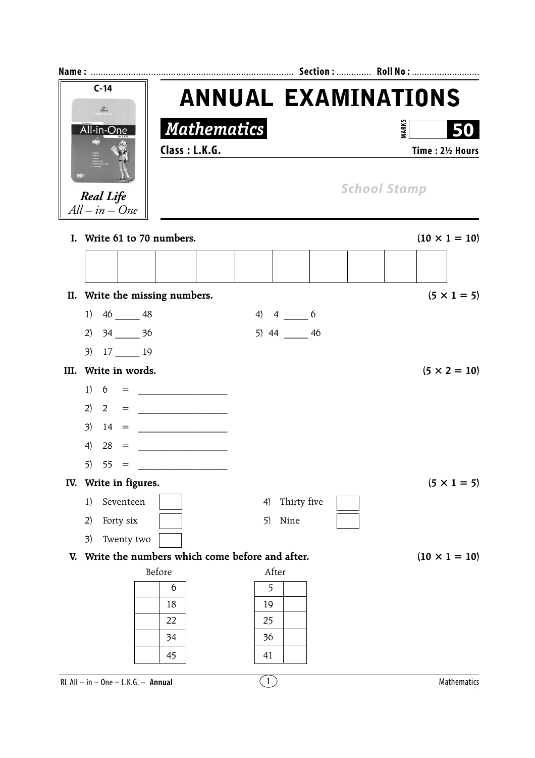

RL All – in – One – L.K.G. – **Annual**